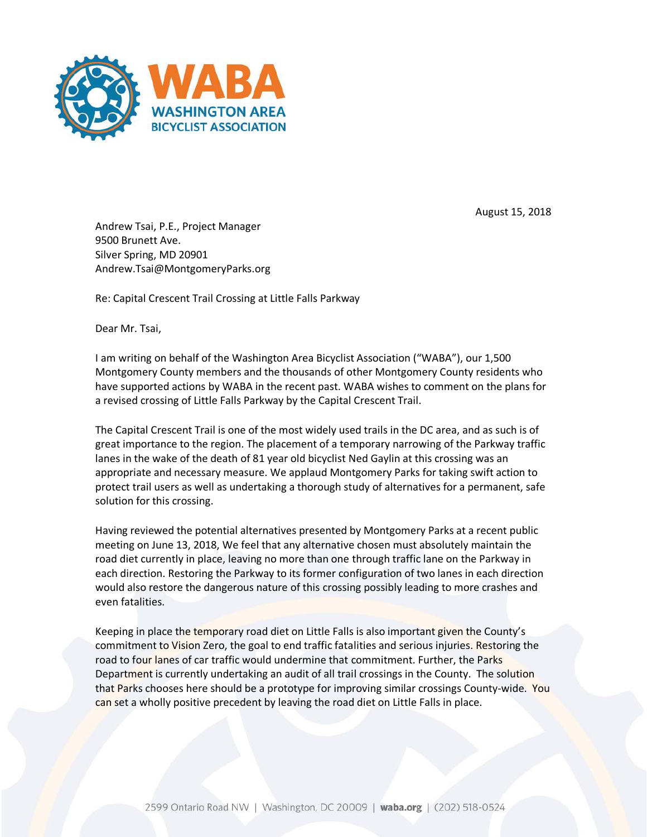

August 15, 2018

Andrew Tsai, P.E., Project Manager 9500 Brunett Ave. Silver Spring, MD 20901 Andrew.Tsai@MontgomeryParks.org

Re: Capital Crescent Trail Crossing at Little Falls Parkway

Dear Mr. Tsai,

I am writing on behalf of the Washington Area Bicyclist Association ("WABA"), our 1,500 Montgomery County members and the thousands of other Montgomery County residents who have supported actions by WABA in the recent past. WABA wishes to comment on the plans for a revised crossing of Little Falls Parkway by the Capital Crescent Trail.

The Capital Crescent Trail is one of the most widely used trails in the DC area, and as such is of great importance to the region. The placement of a temporary narrowing of the Parkway traffic lanes in the wake of the death of 81 year old bicyclist Ned Gaylin at this crossing was an appropriate and necessary measure. We applaud Montgomery Parks for taking swift action to protect trail users as well as undertaking a thorough study of alternatives for a permanent, safe solution for this crossing.

Having reviewed the potential alternatives presented by Montgomery Parks at a recent public meeting on June 13, 2018, We feel that any alternative chosen must absolutely maintain the road diet currently in place, leaving no more than one through traffic lane on the Parkway in each direction. Restoring the Parkway to its former configuration of two lanes in each direction would also restore the dangerous nature of this crossing possibly leading to more crashes and even fatalities.

Keeping in place the temporary road diet on Little Falls is also important given the County's commitment to Vision Zero, the goal to end traffic fatalities and serious injuries. Restoring the road to four lanes of car traffic would undermine that commitment. Further, the Parks Department is currently undertaking an audit of all trail crossings in the County. The solution that Parks chooses here should be a prototype for improving similar crossings County-wide. You can set a wholly positive precedent by leaving the road diet on Little Falls in place.